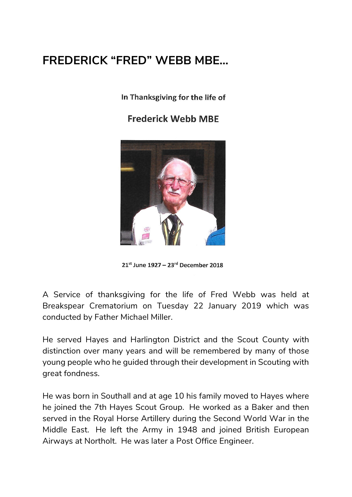## **FREDERICK "FRED" WEBB MBE…**

In Thanksgiving for the life of

**Frederick Webb MBE** 



 $21^{st}$  June 1927 – 23<sup>rd</sup> December 2018

A Service of thanksgiving for the life of Fred Webb was held at Breakspear Crematorium on Tuesday 22 January 2019 which was conducted by Father Michael Miller.

He served Hayes and Harlington District and the Scout County with distinction over many years and will be remembered by many of those young people who he guided through their development in Scouting with great fondness.

He was born in Southall and at age 10 his family moved to Hayes where he joined the 7th Hayes Scout Group. He worked as a Baker and then served in the Royal Horse Artillery during the Second World War in the Middle East. He left the Army in 1948 and joined British European Airways at Northolt. He was later a Post Office Engineer.